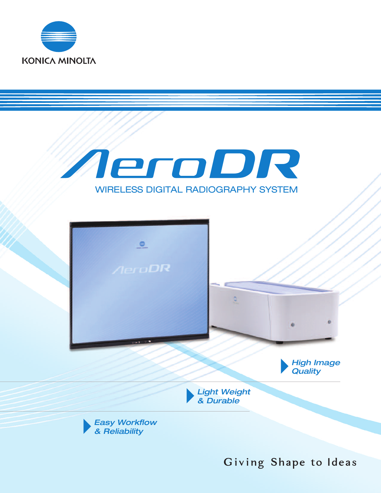



Giving Shape to Ideas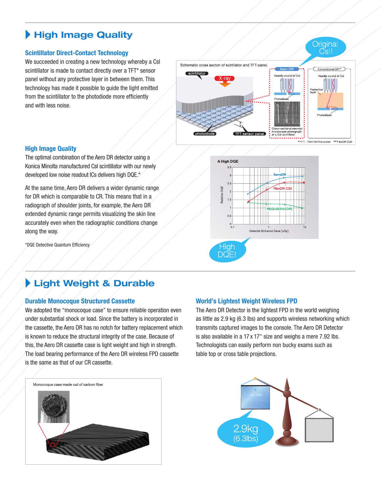# **High Image Quality**

# **Scintillator Direct-Contact Technology**

We succeeded in creating a new technology whereby a Csl scintillator is made to contact directly over a TFT\* sensor panel without any protective layer in between them. This technology has made it possible to guide the light emitted from the scintillator to the photodiode more efficiently and with less noise.



# **High Image Quality**

The optimal combination of the Aero DR detector using a Konica Minolta manufactured Csl scintillator with our newly developed low noise readout ICs delivers high DQE.\*

At the same time, Aero DR delivers a wider dynamic range for DR which is comparable to CR. This means that in a radiograph of shoulder joints, for example, the Aero DR extended dynamic range permits visualizing the skin line accurately even when the radiographic conditions change along the way.

\*DQE Detective Quantum Efficiency

# **Light Weight & Durable**

### **Durable Monocoque Structured Cassette**

We adopted the "monocoque case" to ensure reliable operation even under substantial shock or load. Since the battery is incorporated in the cassette, the Aero DR has no notch for battery replacement which is known to reduce the structural integrity of the case. Because of this, the Aero DR cassette case is light weight and high in strength. The load bearing performance of the Aero DR wireless FPD cassette is the same as that of our CR cassette.





### **World's Lightest Weight Wireless FPD**

The Aero DR Detector is the lightest FPD in the world weighing as little as 2.9 kg (6.3 lbs) and supports wireless networking which transmits captured images to the console. The Aero DR Detector is also available in a 17 x 17" size and weighs a mere 7.92 lbs. Technologists can easily perform non bucky exams such as table top or cross table projections.

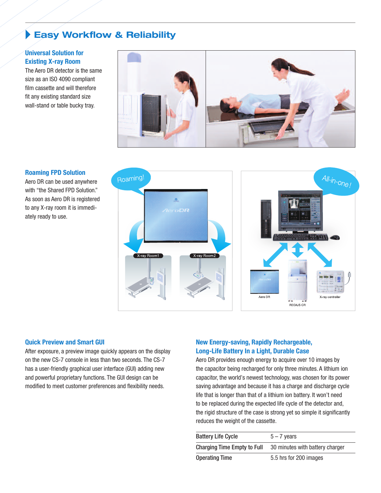# **Easy Workflow & Reliability**

## **Universal Solution for Existing X-ray Room**

The Aero DR detector is the same size as an ISO 4090 compliant film cassette and will therefore fit any existing standard size wall-stand or table bucky tray.



#### **Roaming FPD Solution**

Aero DR can be used anywhere with "the Shared FPD Solution." As soon as Aero DR is registered to any X-ray room it is immediately ready to use.



#### **Quick Preview and Smart GUI**

After exposure, a preview image quickly appears on the display on the new CS-7 console in less than two seconds. The CS-7 has a user-friendly graphical user interface (GUI) adding new and powerful proprietary functions. The GUI design can be modified to meet customer preferences and flexibility needs.

### **New Energy-saving, Rapidly Rechargeable, Long-Life Battery In a Light, Durable Case**

Aero DR provides enough energy to acquire over 10 images by the capacitor being recharged for only three minutes. A lithium ion capacitor, the world's newest technology, was chosen for its power saving advantage and because it has a charge and discharge cycle life that is longer than that of a lithium ion battery. It won't need to be replaced during the expected life cycle of the detector and, the rigid structure of the case is strong yet so simple it significantly reduces the weight of the cassette.

| Battery Life Cycle                 | $5 - 7$ vears                   |
|------------------------------------|---------------------------------|
| <b>Charging Time Empty to Full</b> | 30 minutes with battery charger |
| <b>Operating Time</b>              | 5.5 hrs for 200 images          |